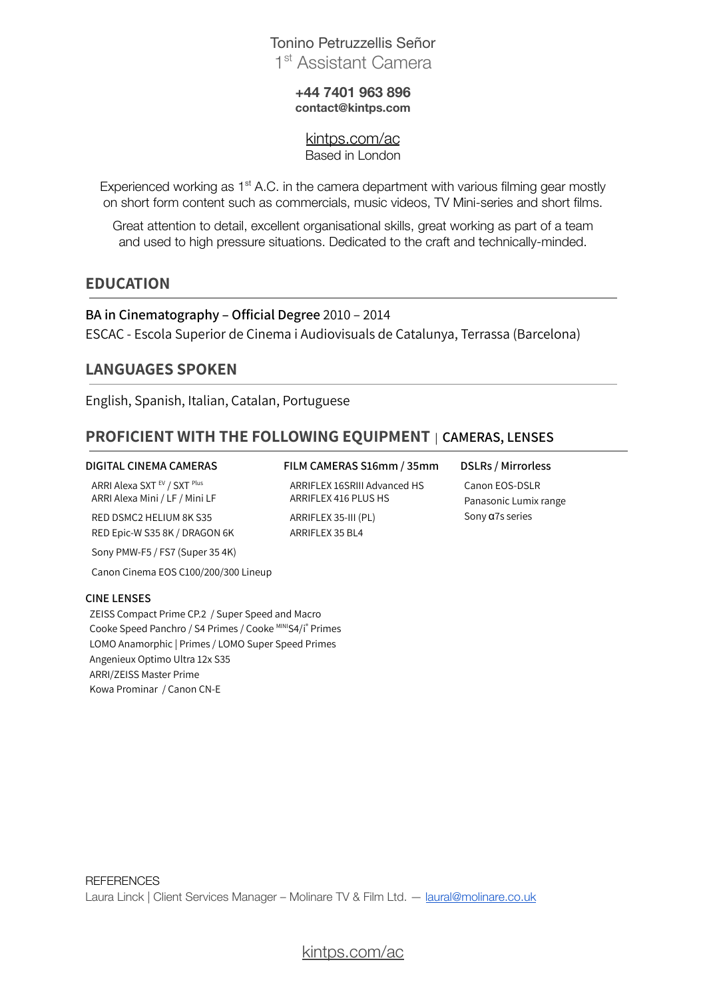# Tonino Petruzzellis Señor 1<sup>st</sup> Assistant Camera

### **+44 7401 963 896 [contact@kintps.com](mailto:contact@kintps.com)**

[kintps.com/ac](http://kintps.com/ac/) Based in London

Experienced working as 1<sup>st</sup> A.C. in the camera department with various filming gear mostly on short form content such as commercials, music videos, TV Mini-series and short films.

Great attention to detail, excellent organisational skills, great working as part of a team and used to high pressure situations. Dedicated to the craft and technically-minded.

## **EDUCATION**

**BA in Cinematography – Official Degree** 2010 – 2014 ESCAC - Escola Superior de Cinema i Audiovisuals de Catalunya, Terrassa (Barcelona)

## **LANGUAGES SPOKEN**

English, Spanish, Italian, Catalan, Portuguese

## **PROFICIENT WITH THE FOLLOWING EQUIPMENT** | **CAMERAS, LENSES**

ARRIFLEX 35 BL4

ARRI Alexa SXT <sup>EV</sup> / SXT <sup>Plus</sup> ARRI Alexa Mini / LF / Mini LF

RED DSMC2 HELIUM 8K S35 RED Epic-W S35 8K / DRAGON 6K

Sony PMW-F5 / FS7 (Super 35 4K)

Canon Cinema EOS C100/200/300 Lineup

### **CINE LENSES**

ZEISS Compact Prime CP.2 / Super Speed and Macro Cooke Speed Panchro / S4 Primes / Cooke MINIS4/I® Primes LOMO Anamorphic | Primes / LOMO Super Speed Primes Angenieux Optimo Ultra 12x S35 ARRI/ZEISS Master Prime Kowa Prominar / Canon CN-E

### **DIGITAL CINEMA CAMERAS FILM CAMERAS S16mm / 35mm DSLRs / Mirrorless** ARRIFLEX 16SRIII Advanced HS

ARRIFLEX 416 PLUS HS ARRIFLEX 35-III (PL)

Canon EOS-DSLR Panasonic Lumix range Sony α7s series

[kintps.com/ac](http://kintps.com/ac/)